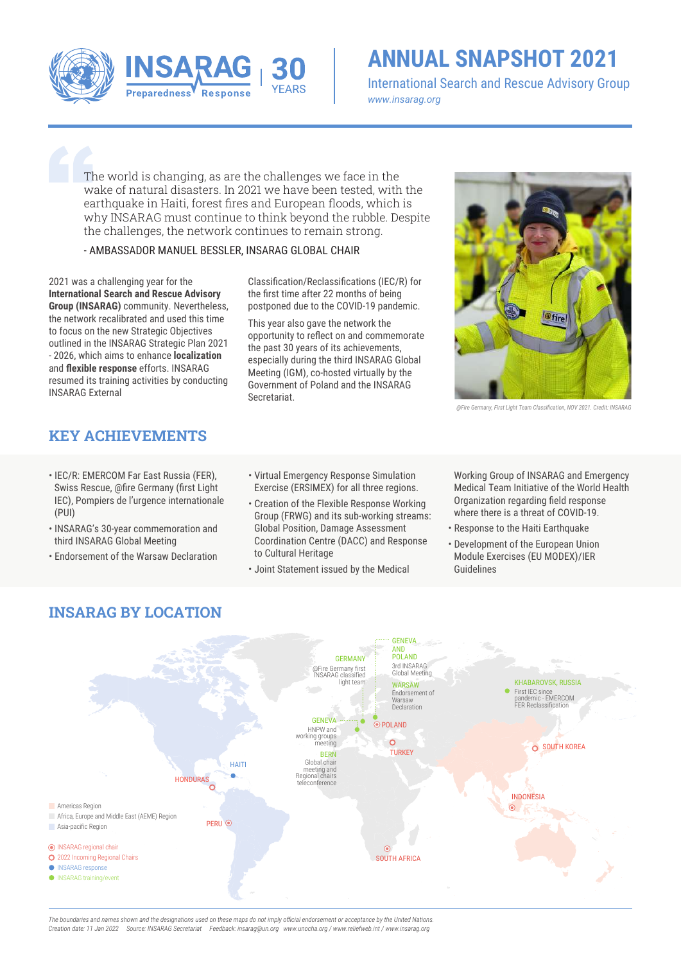

## **ANNUAL SNAPSHOT 2021**

International Search and Rescue Advisory Group *www.insarag.org*

The world is changing, as are the challenges we face in the wake of natural disasters. In 2021 we have been tested, with the earthquake in Haiti, forest fires and European floods, which is why INSARAG must continue to think beyond the rubble. Despite the challenges, the network continues to remain strong.

#### - AMBASSADOR MANUEL BESSLER, INSARAG GLOBAL CHAIR

2021 was a challenging year for the **International Search and Rescue Advisory Group (INSARAG)** community. Nevertheless, the network recalibrated and used this time to focus on the new Strategic Objectives outlined in the INSARAG Strategic Plan 2021 - 2026, which aims to enhance **localization**  and **flexible response** efforts. INSARAG resumed its training activities by conducting INSARAG External

Classification/Reclassifications (IEC/R) for the first time after 22 months of being postponed due to the COVID-19 pandemic.

This year also gave the network the opportunity to reflect on and commemorate the past 30 years of its achievements, especially during the third INSARAG Global Meeting (IGM), co-hosted virtually by the Government of Poland and the INSARAG Secretariat.



*@Fire Germany, First Light Team Classification, NOV 2021. Credit: INSARAG*

### **KEY ACHIEVEMENTS**

- IEC/R: EMERCOM Far East Russia (FER), Swiss Rescue, @fire Germany (first Light IEC), Pompiers de l'urgence internationale (PUI)
- INSARAG's 30-year commemoration and third INSARAG Global Meeting
- Endorsement of the Warsaw Declaration

**INSARAG BY LOCATION**

- Virtual Emergency Response Simulation Exercise (ERSIMEX) for all three regions.
- Creation of the Flexible Response Working Group (FRWG) and its sub-working streams: Global Position, Damage Assessment Coordination Centre (DACC) and Response to Cultural Heritage
- Joint Statement issued by the Medical

Working Group of INSARAG and Emergency Medical Team Initiative of the World Health Organization regarding field response where there is a threat of COVID-19.

- Response to the Haiti Earthquake
- Development of the European Union Module Exercises (EU MODEX)/IER Guidelines



*The boundaries and names shown and the designations used on these maps do not imply official endorsement or acceptance by the United Nations. Creation date: 11 Jan 2022 Source: INSARAG Secretariat Feedback: insarag@un.org www.unocha.org / www.reliefweb.int / www.insarag.org*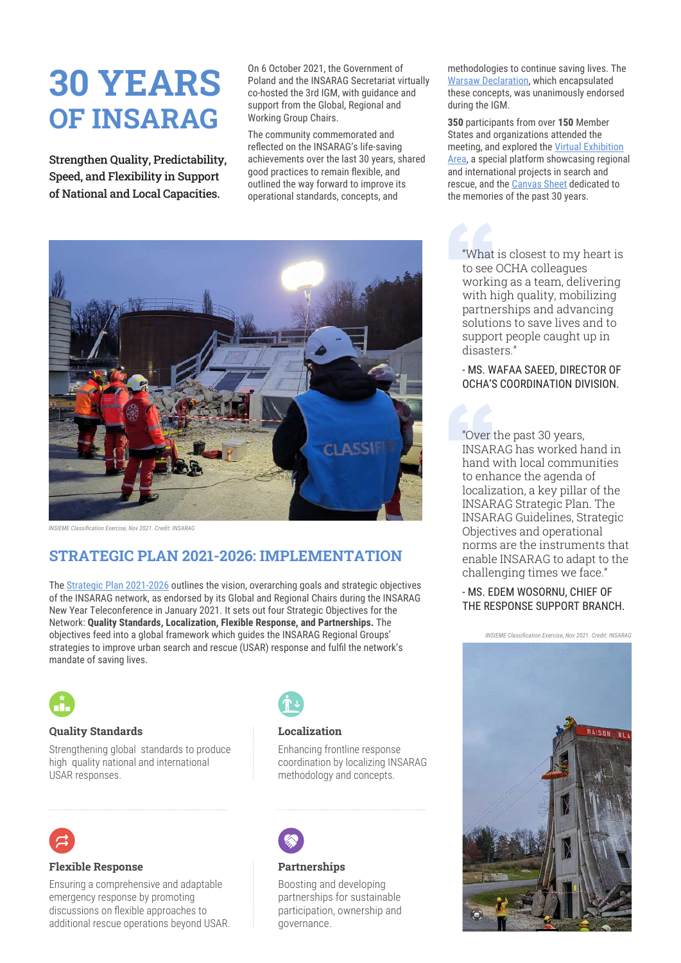# **30 YEARS OF INSARAG**

Strengthen Quality, Predictability, Speed, and Flexibility in Support of National and Local Capacities.

On 6 October 2021, the Government of Poland and the INSARAG Secretariat virtually co-hosted the 3rd IGM, with guidance and support from the Global, Regional and Working Group Chairs.

The community commemorated and reflected on the INSARAG's life-saving achievements over the last 30 years, shared good practices to remain flexible, and outlined the way forward to improve its operational standards, concepts, and



*INSIEME Classification Exercise, Nov 2021. Credit: INSARAG*

## **STRATEGIC PLAN 2021-2026: IMPLEMENTATION**

The Strategic Plan 2021-2026 outlines the vision, overarching goals and strategic objectives of the INSARAG network, as endorsed by its Global and Regional Chairs during the INSARAG New Year Teleconference in January 2021. It sets out four Strategic Objectives for the Network: **Quality Standards, Localization, Flexible Response, and Partnerships.** The objectives feed into a global framework which guides the INSARAG Regional Groups' strategies to improve urban search and rescue (USAR) response and fulfil the network's mandate of saving lives.



#### **Quality Standards**

Strengthening global standards to produce high quality national and international USAR responses.



#### **Localization**

Enhancing frontline response coordination by localizing INSARAG methodology and concepts.



#### **Partnerships**

Boosting and developing partnerships for sustainable participation, ownership and governance.

methodologies to continue saving lives. The Warsaw Declaration, which encapsulated these concepts, was unanimously endorsed during the IGM.

**350** participants from over **150** Member States and organizations attended the meeting, and explored the Virtual Exhibition Area, a special platform showcasing regional and international projects in search and rescue, and the Canvas Sheet dedicated to the memories of the past 30 years.

"What is closest to my heart is to see OCHA colleagues working as a team, delivering with high quality, mobilizing partnerships and advancing solutions to save lives and to support people caught up in disasters."

- MS. WAFAA SAEED, DIRECTOR OF OCHA'S COORDINATION DIVISION.

"Over the past 30 years, INSARAG has worked hand in hand with local communities to enhance the agenda of localization, a key pillar of the INSARAG Strategic Plan. The INSARAG Guidelines, Strategic Objectives and operational norms are the instruments that enable INSARAG to adapt to the challenging times we face."

#### - MS. EDEM WOSORNU, CHIEF OF THE RESPONSE SUPPORT BRANCH.

*INSIEME Classification Exercise, Nov 2021. Credit: INSARAG*





#### **Flexible Response**

Ensuring a comprehensive and adaptable emergency response by promoting discussions on flexible approaches to additional rescue operations beyond USAR.